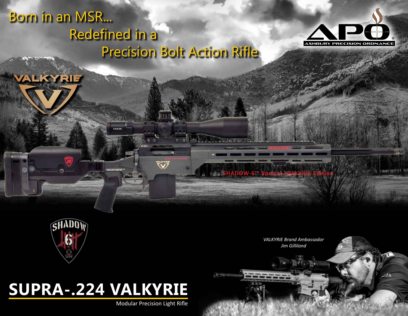### Born in an MSR... Redefined in a Precision Bolt Action Rifle



m

.សំធិត



**VALKYRIE** 

*VALKYRIE Brand Ambassador Jim Gilliland*

**SHADOW-6™ Special VALK** 

# **SUPRA-.224 VALKYRIE** Swag *info@combat-swag.com www.combat-swag.com* w

"Shadow 6 Consulting"

Item Description: Embroidered Patch with Velcro Hook Backing  $\sim$ 

**KAMER** 

Modular Precision Light Rifle

 $\tilde{\mathbf{v}}$